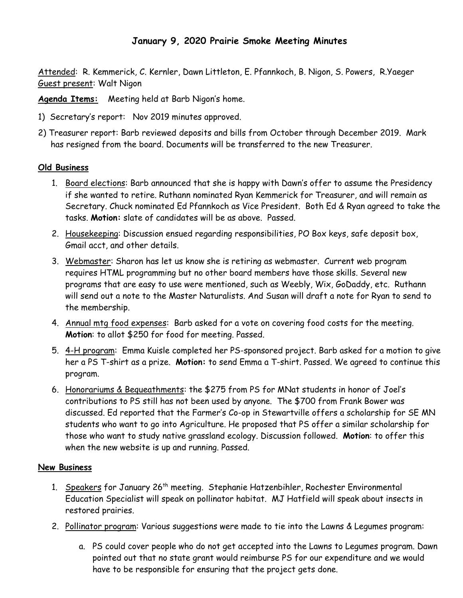## **January 9, 2020 Prairie Smoke Meeting Minutes**

Attended: R. Kemmerick, C. Kernler, Dawn Littleton, E. Pfannkoch, B. Nigon, S. Powers, R.Yaeger Guest present: Walt Nigon

**Agenda Items:** Meeting held at Barb Nigon's home.

- 1) Secretary's report: Nov 2019 minutes approved.
- 2) Treasurer report: Barb reviewed deposits and bills from October through December 2019. Mark has resigned from the board. Documents will be transferred to the new Treasurer.

## **Old Business**

- 1. Board elections: Barb announced that she is happy with Dawn's offer to assume the Presidency if she wanted to retire. Ruthann nominated Ryan Kemmerick for Treasurer, and will remain as Secretary. Chuck nominated Ed Pfannkoch as Vice President. Both Ed & Ryan agreed to take the tasks. **Motion:** slate of candidates will be as above. Passed.
- 2. Housekeeping: Discussion ensued regarding responsibilities, PO Box keys, safe deposit box, Gmail acct, and other details.
- 3. Webmaster: Sharon has let us know she is retiring as webmaster. Current web program requires HTML programming but no other board members have those skills. Several new programs that are easy to use were mentioned, such as Weebly, Wix, GoDaddy, etc. Ruthann will send out a note to the Master Naturalists. And Susan will draft a note for Ryan to send to the membership.
- 4. Annual mtg food expenses: Barb asked for a vote on covering food costs for the meeting. **Motion**: to allot \$250 for food for meeting. Passed.
- 5. 4-H program: Emma Kuisle completed her PS-sponsored project. Barb asked for a motion to give her a PS T-shirt as a prize. **Motion:** to send Emma a T-shirt. Passed. We agreed to continue this program.
- 6. Honorariums & Bequeathments: the \$275 from PS for MNat students in honor of Joel's contributions to PS still has not been used by anyone. The \$700 from Frank Bower was discussed. Ed reported that the Farmer's Co-op in Stewartville offers a scholarship for SE MN students who want to go into Agriculture. He proposed that PS offer a similar scholarship for those who want to study native grassland ecology. Discussion followed. **Motion**: to offer this when the new website is up and running. Passed.

## **New Business**

- 1. Speakers for January 26<sup>th</sup> meeting. Stephanie Hatzenbihler, Rochester Environmental Education Specialist will speak on pollinator habitat. MJ Hatfield will speak about insects in restored prairies.
- 2. Pollinator program: Various suggestions were made to tie into the Lawns & Legumes program:
	- a. PS could cover people who do not get accepted into the Lawns to Legumes program. Dawn pointed out that no state grant would reimburse PS for our expenditure and we would have to be responsible for ensuring that the project gets done.